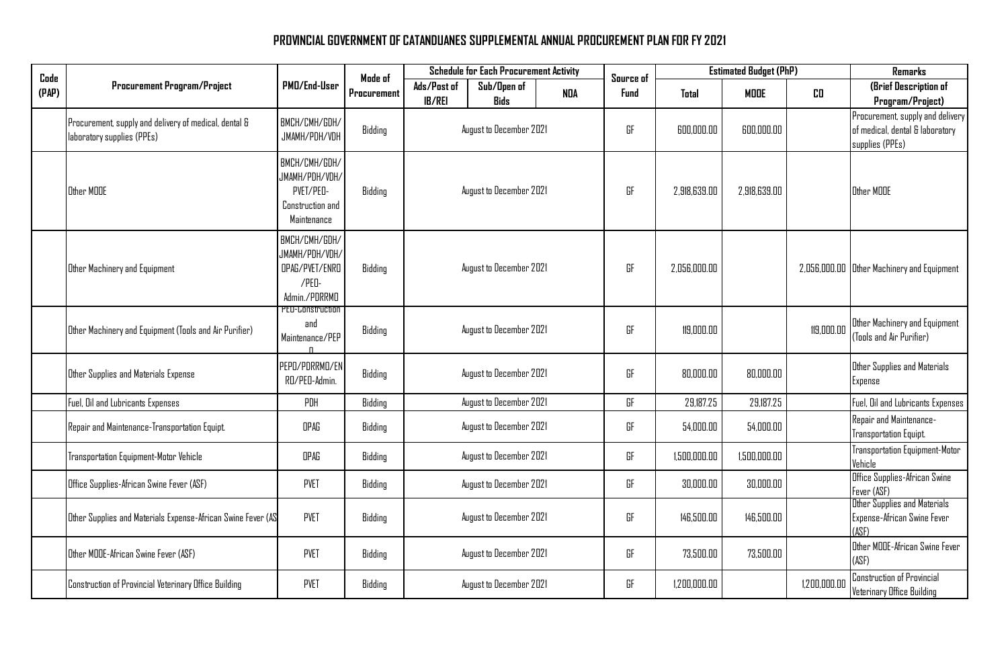## **PROVINCIAL GOVERNMENT OF CATANDUANES SUPPLEMENTAL ANNUAL PROCUREMENT PLAN FOR FY 2021**

| Code<br>(PAP) | <b>Procurement Program/Project</b>                                                  | PMD/End-User                                                                    | Mode of<br>Procurement | <b>Schedule for Each Procurement Activity</b> |                            |            | Source of | <b>Estimated Budget (PhP)</b> |              |              | Remarks                                                                                |
|---------------|-------------------------------------------------------------------------------------|---------------------------------------------------------------------------------|------------------------|-----------------------------------------------|----------------------------|------------|-----------|-------------------------------|--------------|--------------|----------------------------------------------------------------------------------------|
|               |                                                                                     |                                                                                 |                        | Ads/Past of<br><b>IB/REI</b>                  | Sub/Open of<br><b>Bids</b> | <b>NDA</b> | Fund      | Total                         | <b>MODE</b>  | CO.          | (Brief Description of<br>Program/Project)                                              |
|               | Procurement, supply and delivery of medical, dental &<br>laboratory supplies (PPEs) | BMCH/CMH/GDH/<br>JMAMH/PDH/VDH                                                  | Bidding                | August to December 2021                       |                            |            | GF        | 600,000.00                    | 600,000.00   |              | Procurement, supply and delivery<br>of medical, dental & laboratory<br>supplies (PPEs) |
|               | Other MOOE                                                                          | BMCH/CMH/GDH/<br>JMAMH/PDH/VDH/<br>PVET/PED-<br>Construction and<br>Maintenance | Bidding                |                                               | August to December 2021    |            | GF        | 2,918,639.00                  | 2,918,639.00 |              | Other MOOE                                                                             |
|               | Other Machinery and Equipment                                                       | BMCH/CMH/GDH/<br>JMAMH/PDH/VDH/<br>OPAG/PVET/ENRO<br>/PED-<br>Admin./PDRRMD     | Bidding                |                                               | August to December 2021    |            | GF        | 2,056,000.00                  |              |              | 2,056,000.00 Other Machinery and Equipment                                             |
|               | Other Machinery and Equipment (Tools and Air Purifier)                              | <b>PEU-Construction</b><br>and<br>Maintenance/PEP<br>$\mathsf{n}$               | Bidding                |                                               | August to December 2021    |            | GF        | 119,000.00                    |              | 119,000.00   | Other Machinery and Equipment<br>(Tools and Air Purifier)                              |
|               | Other Supplies and Materials Expense                                                | PEPO/PDRRMO/EN<br>RO/PEO-Admin.                                                 | Bidding                |                                               | August to December 2021    |            | GF        | 80,000.00                     | 80,000.00    |              | Other Supplies and Materials<br>Expense                                                |
|               | Fuel, Oil and Lubricants Expenses                                                   | PDH                                                                             | Bidding                |                                               | August to December 2021    |            | GF        | 29,187.25                     | 29,187.25    |              | Fuel, Oil and Lubricants Expenses                                                      |
|               | Repair and Maintenance-Transportation Equipt.                                       | OPAG                                                                            | Bidding                |                                               | August to December 2021    |            | GF        | 54,000.00                     | 54,000.00    |              | Repair and Maintenance-<br>Transportation Equipt.                                      |
|               | Transportation Equipment-Motor Vehicle                                              | OPAG                                                                            | Bidding                |                                               | August to December 2021    |            | GF        | 1,500,000.00                  | 1,500,000.00 |              | <b>Transportation Equipment-Motor</b><br>Vehicle                                       |
|               | Office Supplies-African Swine Fever (ASF)                                           | <b>PVET</b>                                                                     | Bidding                |                                               | August to December 2021    |            | GF        | 30,000.00                     | 30,000.00    |              | Office Supplies-African Swine<br>Fever (ASF)                                           |
|               | Other Supplies and Materials Expense-African Swine Fever (AS                        | <b>PVET</b>                                                                     | Bidding                |                                               | August to December 2021    |            | GF        | 146,500.00                    | 146,500.00   |              | Other Supplies and Materials<br>Expense-African Swine Fever<br>(ARF)                   |
|               | Other MOOE-African Swine Fever (ASF)                                                | <b>PVET</b>                                                                     | Bidding                |                                               | August to December 2021    |            | GF        | 73,500.00                     | 73,500.00    |              | Other MOOE-African Swine Fever<br>(ASF)                                                |
|               | Construction of Provincial Veterinary Office Building                               | <b>PVET</b>                                                                     | Bidding                |                                               | August to December 2021    |            | GF        | 1,200,000.00                  |              | 1,200,000.00 | <b>Construction of Provincial</b><br>Veterinary Office Building                        |